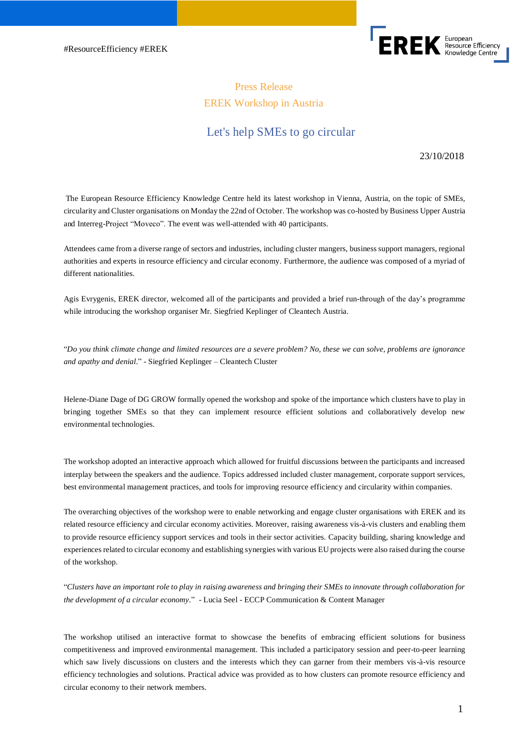

# Press Release EREK Workshop in Austria

## Let's help SMEs to go circular

23/10/2018

The European Resource Efficiency Knowledge Centre held its latest workshop in Vienna, Austria, on the topic of SMEs, circularity and Cluster organisations on Monday the 22nd of October. The workshop was co-hosted by Business Upper Austria and Interreg-Project "Moveco". The event was well-attended with 40 participants.

Attendees came from a diverse range of sectors and industries, including cluster mangers, business support managers, regional authorities and experts in resource efficiency and circular economy. Furthermore, the audience was composed of a myriad of different nationalities.

Agis Evrygenis, EREK director, welcomed all of the participants and provided a brief run-through of the day's programme while introducing the workshop organiser Mr. Siegfried Keplinger of Cleantech Austria.

"*Do you think climate change and limited resources are a severe problem? No, these we can solve, problems are ignorance and apathy and denial*." - Siegfried Keplinger – Cleantech Cluster

Helene-Diane Dage of DG GROW formally opened the workshop and spoke of the importance which clusters have to play in bringing together SMEs so that they can implement resource efficient solutions and collaboratively develop new environmental technologies.

The workshop adopted an interactive approach which allowed for fruitful discussions between the participants and increased interplay between the speakers and the audience. Topics addressed included cluster management, corporate support services, best environmental management practices, and tools for improving resource efficiency and circularity within companies.

The overarching objectives of the workshop were to enable networking and engage cluster organisations with EREK and its related resource efficiency and circular economy activities. Moreover, raising awareness vis-à-vis clusters and enabling them to provide resource efficiency support services and tools in their sector activities. Capacity building, sharing knowledge and experiences related to circular economy and establishing synergies with various EU projects were also raised during the course of the workshop.

"*Clusters have an important role to play in raising awareness and bringing their SMEs to innovate through collaboration for the development of a circular economy*." - Lucia Seel - ECCP Communication & Content Manager

The workshop utilised an interactive format to showcase the benefits of embracing efficient solutions for business competitiveness and improved environmental management. This included a participatory session and peer-to-peer learning which saw lively discussions on clusters and the interests which they can garner from their members vis-à-vis resource efficiency technologies and solutions. Practical advice was provided as to how clusters can promote resource efficiency and circular economy to their network members.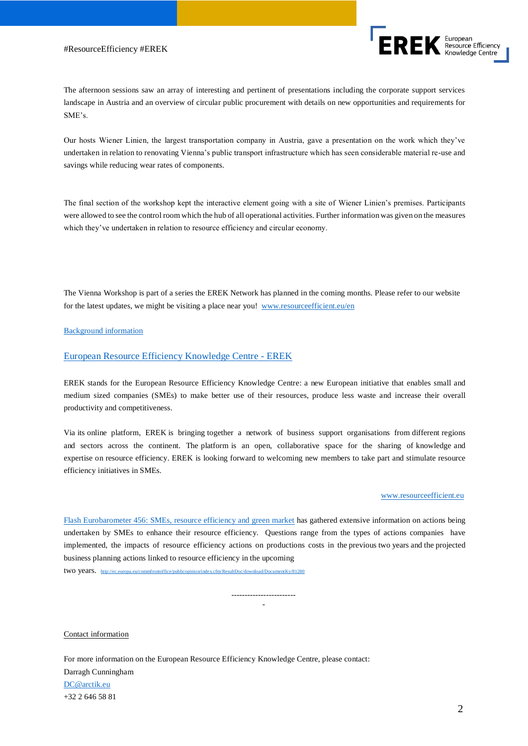#### #ResourceEfficiency #EREK



The afternoon sessions saw an array of interesting and pertinent of presentations including the corporate support services landscape in Austria and an overview of circular public procurement with details on new opportunities and requirements for SME's.

Our hosts Wiener Linien, the largest transportation company in Austria, gave a presentation on the work which they've undertaken in relation to renovating Vienna's public transport infrastructure which has seen considerable material re-use and savings while reducing wear rates of components.

The final section of the workshop kept the interactive element going with a site of Wiener Linien's premises. Participants were allowed to see the control room which the hub of all operational activities. Further information was given on the measures which they've undertaken in relation to resource efficiency and circular economy.

The Vienna Workshop is part of a series the EREK Network has planned in the coming months. Please refer to our website for the latest updates, we might be visiting a place near you! [www.resourceefficient.eu/en](http://www.resourceefficient.eu/en)

#### Background information

## European Resource Efficiency Knowledge Centre - EREK

EREK stands for the European Resource Efficiency Knowledge Centre: a new European initiative that enables small and medium sized companies (SMEs) to make better use of their resources, produce less waste and increase their overall productivity and competitiveness.

Via its online platform, EREK is bringing together a network of business support organisations from different regions and sectors across the continent. The platform is an open, collaborative space for the sharing of knowledge and expertise on resource efficiency. EREK is looking forward to welcoming new members to take part and stimulate resource efficiency initiatives in SMEs.

#### [www.resourceefficient.eu](http://www.resourceefficient.eu/)

Flash Eurobarometer 456: SMEs, resource efficiency and green market has gathered extensive information on actions being undertaken by SMEs to enhance their resource efficiency. Questions range from the types of actions companies have implemented, the impacts of resource efficiency actions on productions costs in the previous two years and the projected business planning actions linked to resource efficiency in the upcoming

> ------------------------ -

two years. [http://ec.europa.eu/commfrontoffice/publicopinion/index.cfm/R](http://ec.europa.eu/commfrontoffice/publicopinion/index.cfm/)esultDoc/download/DocumentKy/81280

Contact information

For more information on the European Resource Efficiency Knowledge Centre, please contact: Darragh Cunningham [DC@arctik.eu](mailto:DC@arctik.eu) +32 2 646 58 81